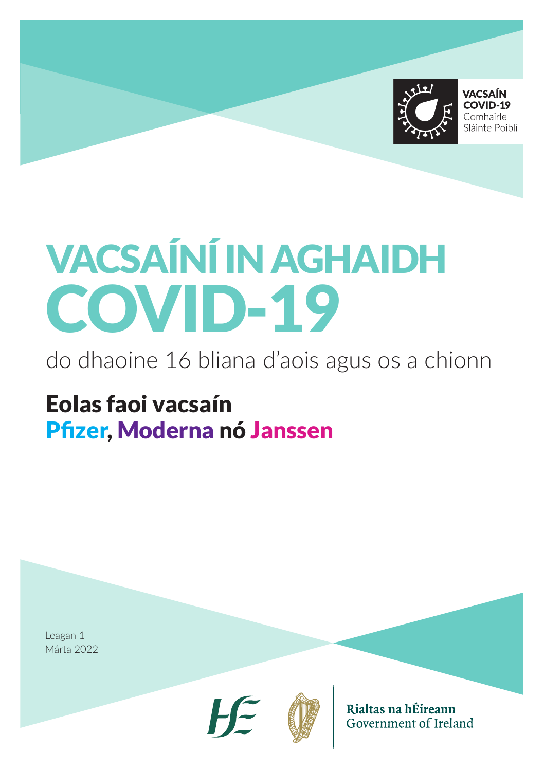

**VACSAÍN** COVID-19 Comhairle Sláinte Poiblí

# VACSAÍNÍ IN AGHAIDH COVID-19

do dhaoine 16 bliana d'aois agus os a chionn

Eolas faoi vacsaín Pfizer, Moderna nó Janssen

Leagan 1 Márta 2022





Rialtas na hÉireann Government of Ireland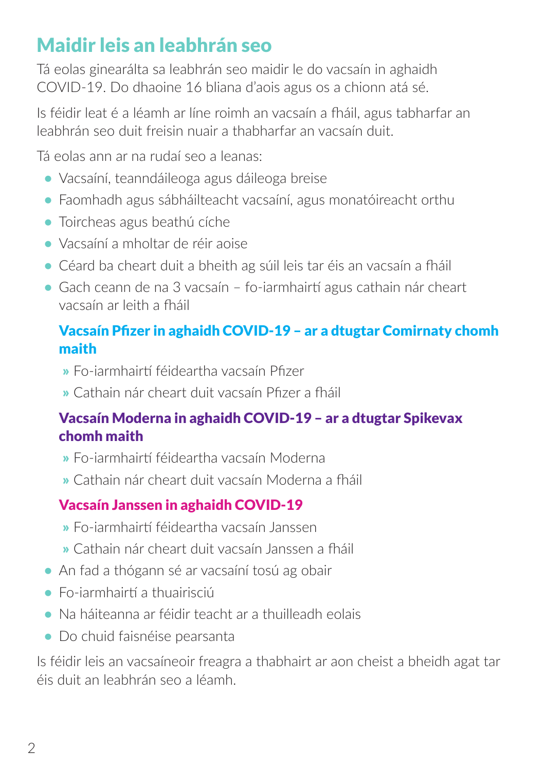## Maidir leis an leabhrán seo

Tá eolas ginearálta sa leabhrán seo maidir le do vacsaín in aghaidh COVID-19. Do dhaoine 16 bliana d'aois agus os a chionn atá sé.

Is féidir leat é a léamh ar líne roimh an vacsaín a fháil, agus tabharfar an leabhrán seo duit freisin nuair a thabharfar an vacsaín duit.

Tá eolas ann ar na rudaí seo a leanas:

- **•** Vacsaíní, teanndáileoga agus dáileoga breise
- **•** Faomhadh agus sábháilteacht vacsaíní, agus monatóireacht orthu
- **•** Toircheas agus beathú cíche
- **•** Vacsaíní a mholtar de réir aoise
- **•** Céard ba cheart duit a bheith ag súil leis tar éis an vacsaín a fháil
- **•** Gach ceann de na 3 vacsaín fo-iarmhairtí agus cathain nár cheart vacsaín ar leith a fháil

## Vacsaín Pfizer in aghaidh COVID-19 – ar a dtugtar Comirnaty chomh maith

- » Fo-iarmhairtí féideartha vacsaín Pfizer
- » Cathain nár cheart duit vacsaín Pfizer a fháil

#### Vacsaín Moderna in aghaidh COVID-19 – ar a dtugtar Spikevax chomh maith

- » Fo-iarmhairtí féideartha vacsaín Moderna
- » Cathain nár cheart duit vacsaín Moderna a fháil

## Vacsaín Janssen in aghaidh COVID-19

- » Fo-iarmhairtí féideartha vacsaín Janssen
- » Cathain nár cheart duit vacsaín Janssen a fháil
- **•** An fad a thógann sé ar vacsaíní tosú ag obair
- **•** Fo-iarmhairtí a thuairisciú
- **•** Na háiteanna ar féidir teacht ar a thuilleadh eolais
- **•** Do chuid faisnéise pearsanta

Is féidir leis an vacsaíneoir freagra a thabhairt ar aon cheist a bheidh agat tar éis duit an leabhrán seo a léamh.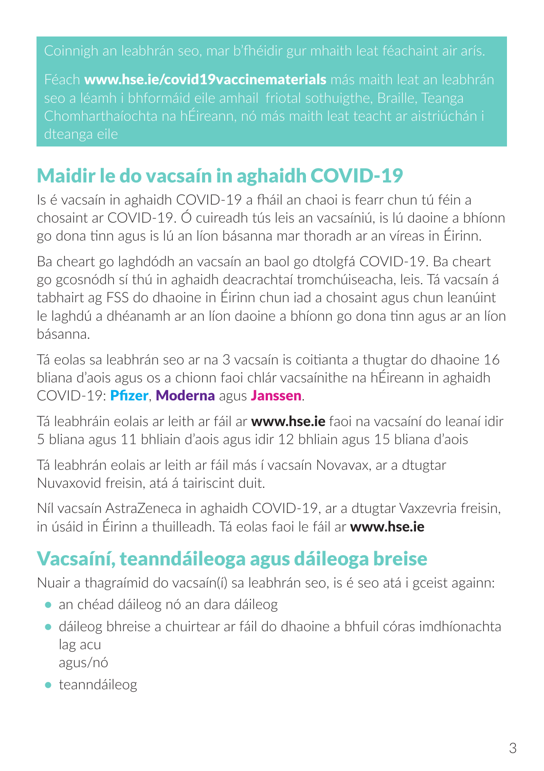Coinnigh an leabhrán seo, mar b'fhéidir gur mhaith leat féachaint air arís.

Féach www.hse.ie/covid19vaccinematerials más maith leat an leabhrán seo a léamh i bhformáid eile amhail friotal sothuigthe, Braille, Teanga

## Maidir le do vacsaín in aghaidh COVID-19

Is é vacsaín in aghaidh COVID-19 a fháil an chaoi is fearr chun tú féin a chosaint ar COVID-19. Ó cuireadh tús leis an vacsaíniú, is lú daoine a bhíonn go dona tinn agus is lú an líon básanna mar thoradh ar an víreas in Éirinn.

Ba cheart go laghdódh an vacsaín an baol go dtolgfá COVID-19. Ba cheart go gcosnódh sí thú in aghaidh deacrachtaí tromchúiseacha, leis. Tá vacsaín á tabhairt ag FSS do dhaoine in Éirinn chun iad a chosaint agus chun leanúint le laghdú a dhéanamh ar an líon daoine a bhíonn go dona tinn agus ar an líon básanna.

Tá eolas sa leabhrán seo ar na 3 vacsaín is coitianta a thugtar do dhaoine 16 bliana d'aois agus os a chionn faoi chlár vacsaínithe na hÉireann in aghaidh COVID-19: Pfizer, Moderna agus Janssen.

Tá leabhráin eolais ar leith ar fáil ar www.hse.ie faoi na vacsaíní do leanaí idir 5 bliana agus 11 bhliain d'aois agus idir 12 bhliain agus 15 bliana d'aois

Tá leabhrán eolais ar leith ar fáil más í vacsaín Novavax, ar a dtugtar Nuvaxovid freisin, atá á tairiscint duit.

Níl vacsaín AstraZeneca in aghaidh COVID-19, ar a dtugtar Vaxzevria freisin, in úsáid in Éirinn a thuilleadh. Tá eolas faoi le fáil ar www.hse.ie

## Vacsaíní, teanndáileoga agus dáileoga breise

Nuair a thagraímid do vacsaín(í) sa leabhrán seo, is é seo atá i gceist againn:

- **•** an chéad dáileog nó an dara dáileog
- **•** dáileog bhreise a chuirtear ar fáil do dhaoine a bhfuil córas imdhíonachta lag acu agus/nó

**•** teanndáileog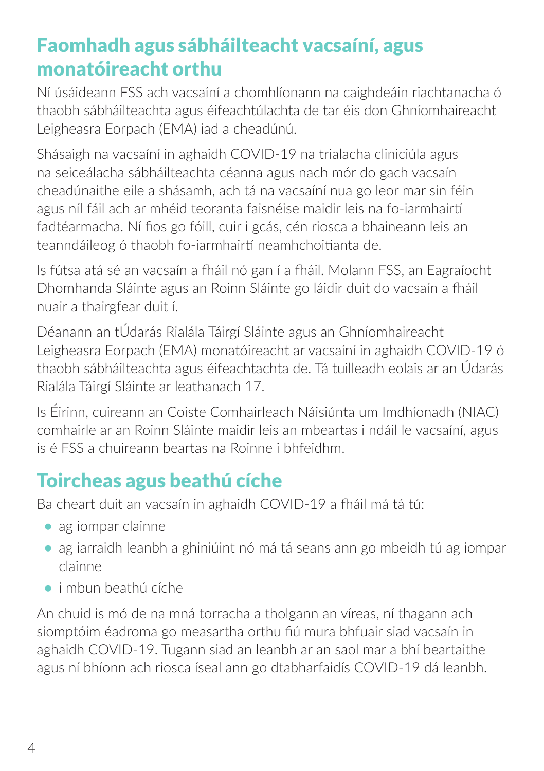## Faomhadh agus sábháilteacht vacsaíní, agus monatóireacht orthu

Ní úsáideann FSS ach vacsaíní a chomhlíonann na caighdeáin riachtanacha ó thaobh sábháilteachta agus éifeachtúlachta de tar éis don Ghníomhaireacht Leigheasra Eorpach (EMA) iad a cheadúnú.

Shásaigh na vacsaíní in aghaidh COVID-19 na trialacha cliniciúla agus na seiceálacha sábháilteachta céanna agus nach mór do gach vacsaín cheadúnaithe eile a shásamh, ach tá na vacsaíní nua go leor mar sin féin agus níl fáil ach ar mhéid teoranta faisnéise maidir leis na fo-iarmhairtí fadtéarmacha. Ní fios go fóill, cuir i gcás, cén riosca a bhaineann leis an teanndáileog ó thaobh fo-iarmhairtí neamhchoitianta de.

Is fútsa atá sé an vacsaín a fháil nó gan í a fháil. Molann FSS, an Eagraíocht Dhomhanda Sláinte agus an Roinn Sláinte go láidir duit do vacsaín a fháil nuair a thairgfear duit í.

Déanann an tÚdarás Rialála Táirgí Sláinte agus an Ghníomhaireacht Leigheasra Eorpach (EMA) monatóireacht ar vacsaíní in aghaidh COVID-19 ó thaobh sábháilteachta agus éifeachtachta de. Tá tuilleadh eolais ar an Údarás Rialála Táirgí Sláinte ar leathanach 17.

Is Éirinn, cuireann an Coiste Comhairleach Náisiúnta um Imdhíonadh (NIAC) comhairle ar an Roinn Sláinte maidir leis an mbeartas i ndáil le vacsaíní, agus is é FSS a chuireann beartas na Roinne i bhfeidhm.

## Toircheas agus beathú cíche

Ba cheart duit an vacsaín in aghaidh COVID-19 a fháil má tá tú:

- **•** ag iompar clainne
- **•** ag iarraidh leanbh a ghiniúint nó má tá seans ann go mbeidh tú ag iompar clainne
- **•** i mbun beathú cíche

An chuid is mó de na mná torracha a tholgann an víreas, ní thagann ach siomptóim éadroma go measartha orthu fiú mura bhfuair siad vacsaín in aghaidh COVID-19. Tugann siad an leanbh ar an saol mar a bhí beartaithe agus ní bhíonn ach riosca íseal ann go dtabharfaidís COVID-19 dá leanbh.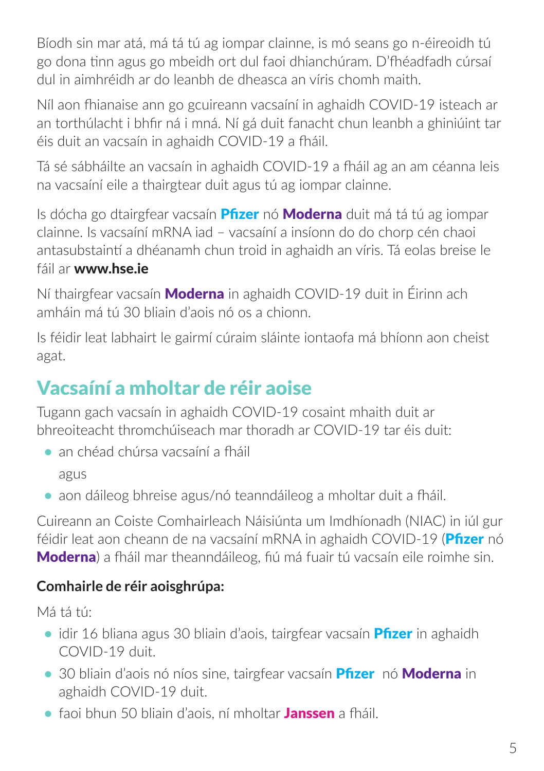Bíodh sin mar atá, má tá tú ag iompar clainne, is mó seans go n-éireoidh tú go dona tinn agus go mbeidh ort dul faoi dhianchúram. D'fhéadfadh cúrsaí dul in aimhréidh ar do leanbh de dheasca an víris chomh maith.

Níl aon fhianaise ann go gcuireann vacsaíní in aghaidh COVID-19 isteach ar an torthúlacht i bhfir ná i mná. Ní gá duit fanacht chun leanbh a ghiniúint tar éis duit an vacsaín in aghaidh COVID-19 a fháil.

Tá sé sábháilte an vacsaín in aghaidh COVID-19 a fháil ag an am céanna leis na vacsaíní eile a thairgtear duit agus tú ag iompar clainne.

Is dócha go dtairgfear vacsaín **Pfizer** nó **Moderna** duit má tá tú ag iompar clainne. Is vacsaíní mRNA iad – vacsaíní a insíonn do do chorp cén chaoi antasubstaintí a dhéanamh chun troid in aghaidh an víris. Tá eolas breise le fáil ar www.hse.ie

Ní thairgfear vacsaín **Moderna** in aghaidh COVID-19 duit in Éirinn ach amháin má tú 30 bliain d'aois nó os a chionn.

Is féidir leat labhairt le gairmí cúraim sláinte iontaofa má bhíonn aon cheist agat.

## Vacsaíní a mholtar de réir aoise

Tugann gach vacsaín in aghaidh COVID-19 cosaint mhaith duit ar bhreoiteacht thromchúiseach mar thoradh ar COVID-19 tar éis duit:

- **•** an chéad chúrsa vacsaíní a fháil agus
- **•** aon dáileog bhreise agus/nó teanndáileog a mholtar duit a fháil.

Cuireann an Coiste Comhairleach Náisiúnta um Imdhíonadh (NIAC) in iúl gur féidir leat aon cheann de na vacsaíní mRNA in aghaidh COVID-19 (Pfizer nó Moderna) a fháil mar theanndáileog, fiú má fuair tú vacsaín eile roimhe sin.

## **Comhairle de réir aoisghrúpa:**

Má tá tú:

- **•** idir 16 bliana agus 30 bliain d'aois, tairgfear vacsaín **Pfizer** in aghaidh COVID-19 duit.
- **•** 30 bliain d'aois nó níos sine, tairgfear vacsaín Pfizer nó Moderna in aghaidh COVID-19 duit.
- **•** faoi bhun 50 bliain d'aois, ní mholtar Janssen a fháil.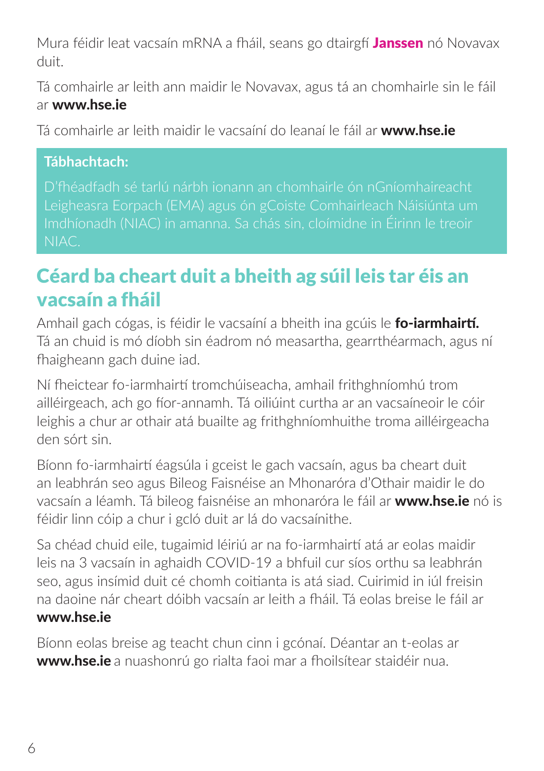Mura féidir leat vacsaín mRNA a fháil, seans go dtairgfí Janssen nó Novavax duit.

Tá comhairle ar leith ann maidir le Novavax, agus tá an chomhairle sin le fáil ar www.hse.ie

Tá comhairle ar leith maidir le vacsaíní do leanaí le fáil ar www.hse.ie

#### **Tábhachtach:**

D'fhéadfadh sé tarlú nárbh ionann an chomhairle ón nGníomhaireacht Imdhíonadh (NIAC) in amanna. Sa chás sin, cloímidne in Éirinn le treoir NIAC.

## Céard ba cheart duit a bheith ag súil leis tar éis an vacsaín a fháil

Amhail gach cógas, is féidir le vacsaíní a bheith ina gcúis le **fo-iarmhairtí.** Tá an chuid is mó díobh sin éadrom nó measartha, gearrthéarmach, agus ní fhaigheann gach duine iad.

Ní fheictear fo-iarmhairtí tromchúiseacha, amhail frithghníomhú trom ailléirgeach, ach go fíor-annamh. Tá oiliúint curtha ar an vacsaíneoir le cóir leighis a chur ar othair atá buailte ag frithghníomhuithe troma ailléirgeacha den sórt sin.

Bíonn fo-iarmhairtí éagsúla i gceist le gach vacsaín, agus ba cheart duit an leabhrán seo agus Bileog Faisnéise an Mhonaróra d'Othair maidir le do vacsaín a léamh. Tá bileog faisnéise an mhonaróra le fáil ar www.hse.ie nó is féidir linn cóip a chur i gcló duit ar lá do vacsaínithe.

Sa chéad chuid eile, tugaimid léiriú ar na fo-iarmhairtí atá ar eolas maidir leis na 3 vacsaín in aghaidh COVID-19 a bhfuil cur síos orthu sa leabhrán seo, agus insímid duit cé chomh coitianta is atá siad. Cuirimid in iúl freisin na daoine nár cheart dóibh vacsaín ar leith a fháil. Tá eolas breise le fáil ar www.hse.ie

Bíonn eolas breise ag teacht chun cinn i gcónaí. Déantar an t-eolas ar www.hse.ie a nuashonrú go rialta faoi mar a fhoilsítear staidéir nua.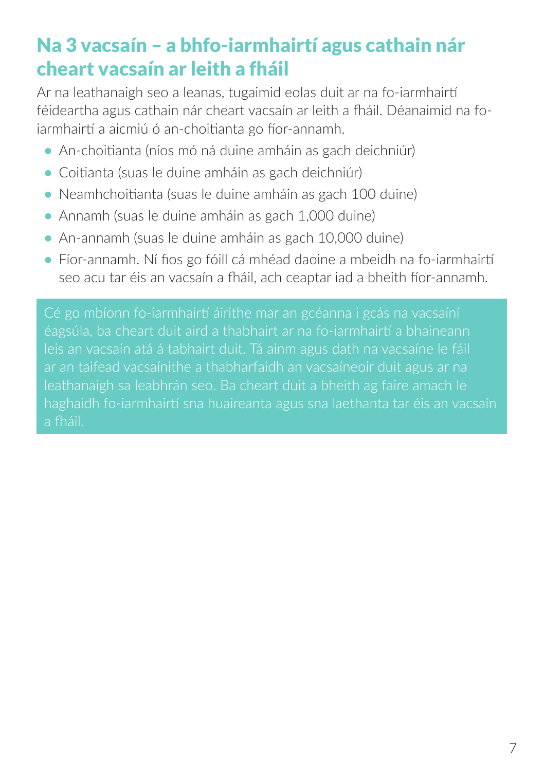## Na 3 vacsaín – a bhfo-iarmhairtí agus cathain nár cheart vacsaín ar leith a fháil

Ar na leathanaigh seo a leanas, tugaimid eolas duit ar na fo-iarmhairtí féideartha agus cathain nár cheart vacsaín ar leith a fháil. Déanaimid na foiarmhairtí a aicmiú ó an-choitianta go fíor-annamh.

- **•** An-choitianta (níos mó ná duine amháin as gach deichniúr)
- **•** Coitianta (suas le duine amháin as gach deichniúr)
- **•** Neamhchoitianta (suas le duine amháin as gach 100 duine)
- **•** Annamh (suas le duine amháin as gach 1,000 duine)
- **•** An-annamh (suas le duine amháin as gach 10,000 duine)
- **•** Fíor-annamh. Ní fios go fóill cá mhéad daoine a mbeidh na fo-iarmhairtí seo acu tar éis an vacsaín a fháil, ach ceaptar iad a bheith fíor-annamh.

Cé go mbíonn fo-iarmhairtí áirithe mar an gcéanna i gcás na vacsaíní leis an vacsaín atá á tabhairt duit. Tá ainm agus dath na vacsaíne le fáil leathanaigh sa leabhrán seo. Ba cheart duit a bheith ag faire amach le haghaidh fo-iarmhairtí sna huaireanta agus sna laethanta tar éis an vacsaín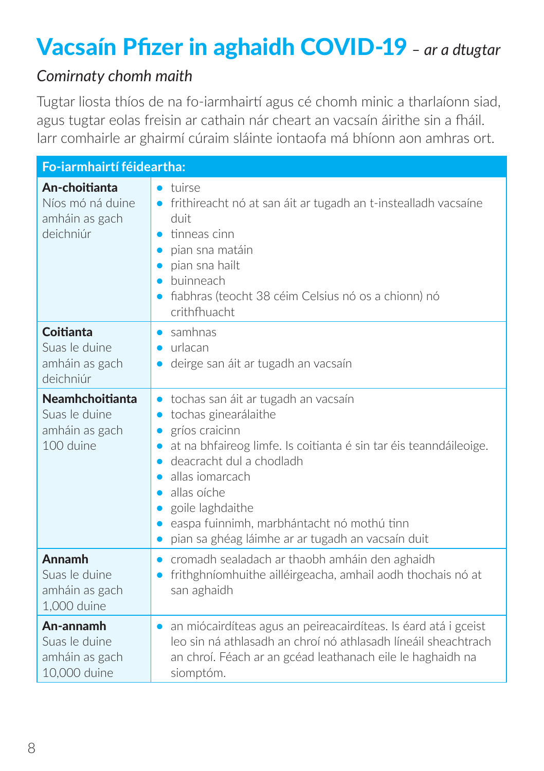## Vacsaín Pfizer in aghaidh COVID-19 *– ar a dtugtar*

#### *Comirnaty chomh maith*

Tugtar liosta thíos de na fo-iarmhairtí agus cé chomh minic a tharlaíonn siad, agus tugtar eolas freisin ar cathain nár cheart an vacsaín áirithe sin a fháil. Iarr comhairle ar ghairmí cúraim sláinte iontaofa má bhíonn aon amhras ort.

| Fo-iarmhairtí féideartha:                                              |                                                                                                                                                                                                                                                                                                                                                                                                                                                              |  |
|------------------------------------------------------------------------|--------------------------------------------------------------------------------------------------------------------------------------------------------------------------------------------------------------------------------------------------------------------------------------------------------------------------------------------------------------------------------------------------------------------------------------------------------------|--|
| An-choitianta<br>Níos mó ná duine<br>amháin as gach<br>deichniúr       | tuirse<br>$\bullet$<br>frithireacht nó at san áit ar tugadh an t-instealladh vacsaíne<br>$\bullet$<br>duit<br>tinneas cinn<br>$\bullet$<br>pian sna matáin<br>pian sna hailt<br>buinneach<br>$\bullet$<br>fiabhras (teocht 38 céim Celsius nó os a chionn) nó<br>$\bullet$<br>crithfhuacht                                                                                                                                                                   |  |
| Coitianta<br>Suas le duine<br>amháin as gach<br>deichniúr              | samhnas<br>$\bullet$<br>urlacan<br>$\bullet$<br>deirge san áit ar tugadh an vacsaín                                                                                                                                                                                                                                                                                                                                                                          |  |
| <b>Neamhchoitianta</b><br>Suas le duine<br>amháin as gach<br>100 duine | tochas san áit ar tugadh an vacsaín<br>$\bullet$<br>tochas ginearálaithe<br>$\bullet$<br>gríos craicinn<br>$\bullet$<br>at na bhfaireog limfe. Is coitianta é sin tar éis teanndáileoige.<br>deacracht dul a chodladh<br>$\bullet$<br>allas iomarcach<br>$\bullet$<br>allas oíche<br>$\bullet$<br>goile laghdaithe<br>$\bullet$<br>easpa fuinnimh, marbhántacht nó mothú tinn<br>$\bullet$<br>pian sa ghéag láimhe ar ar tugadh an vacsaín duit<br>$\bullet$ |  |
| <b>Annamh</b><br>Suas le duine<br>amháin as gach<br>1,000 duine        | cromadh sealadach ar thaobh amháin den aghaidh<br>$\bullet$<br>frithghníomhuithe ailléirgeacha, amhail aodh thochais nó at<br>$\bullet$<br>san aghaidh                                                                                                                                                                                                                                                                                                       |  |
| An-annamh<br>Suas le duine<br>amháin as gach<br>10,000 duine           | an miócairdíteas agus an peireacairdíteas. Is éard atá i gceist<br>$\bullet$<br>leo sin ná athlasadh an chroí nó athlasadh líneáil sheachtrach<br>an chroí. Féach ar an gcéad leathanach eile le haghaidh na<br>siomptóm.                                                                                                                                                                                                                                    |  |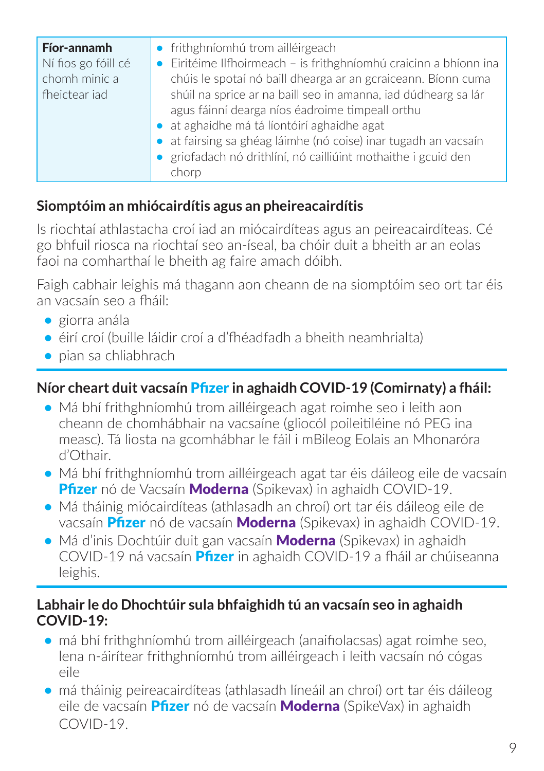| Fíor-annamh<br>Ní fios go fóill cé<br>chomh minic a<br>fheictear jad | • frithghníomhú trom ailléirgeach<br>Eiritéime Ilfhoirmeach - is frithghníomhú craicinn a bhíonn ina<br>chúis le spotaí nó baill dhearga ar an gcraiceann. Bíonn cuma<br>shúil na sprice ar na baill seo in amanna, iad dúdhearg sa lár<br>agus fáinní dearga níos éadroime timpeall orthu<br>• at aghaidhe má tá líontóirí aghaidhe agat<br>• at fairsing sa ghéag láimhe (nó coise) inar tugadh an vacsaín |
|----------------------------------------------------------------------|--------------------------------------------------------------------------------------------------------------------------------------------------------------------------------------------------------------------------------------------------------------------------------------------------------------------------------------------------------------------------------------------------------------|
|                                                                      | griofadach nó drithlíní, nó cailliúint mothaithe i gcuid den<br>chorp                                                                                                                                                                                                                                                                                                                                        |

#### **Siomptóim an mhiócairdítis agus an pheireacairdítis**

Is riochtaí athlastacha croí iad an miócairdíteas agus an peireacairdíteas. Cé go bhfuil riosca na riochtaí seo an-íseal, ba chóir duit a bheith ar an eolas faoi na comharthaí le bheith ag faire amach dóibh.

Faigh cabhair leighis má thagann aon cheann de na siomptóim seo ort tar éis an vacsaín seo a fháil:

- **•** giorra anála
- **•** éirí croí (buille láidir croí a d'fhéadfadh a bheith neamhrialta)
- **•** pian sa chliabhrach

#### **Níor cheart duit vacsaín** Pfizer **in aghaidh COVID-19 (Comirnaty) a fháil:**

- **•** Má bhí frithghníomhú trom ailléirgeach agat roimhe seo i leith aon cheann de chomhábhair na vacsaíne (gliocól poileitiléine nó PEG ina measc). Tá liosta na gcomhábhar le fáil i mBileog Eolais an Mhonaróra d'Othair.
- **•** Má bhí frithghníomhú trom ailléirgeach agat tar éis dáileog eile de vacsaín Pfizer nó de Vacsaín Moderna (Spikevax) in aghaidh COVID-19.
- **•** Má tháinig miócairdíteas (athlasadh an chroí) ort tar éis dáileog eile de vacsaín **Pfizer** nó de vacsaín **Moderna** (Spikevax) in aghaidh COVID-19.
- **•** Má d'inis Dochtúir duit gan vacsaín Moderna (Spikevax) in aghaidh COVID-19 ná vacsaín Pfizer in aghaidh COVID-19 a fháil ar chúiseanna leighis.

#### **Labhair le do Dhochtúir sula bhfaighidh tú an vacsaín seo in aghaidh COVID-19:**

- **•** má bhí frithghníomhú trom ailléirgeach (anaifiolacsas) agat roimhe seo, lena n-áirítear frithghníomhú trom ailléirgeach i leith vacsaín nó cógas eile
- **•** má tháinig peireacairdíteas (athlasadh líneáil an chroí) ort tar éis dáileog eile de vacsaín **Pfizer** nó de vacsaín **Moderna** (SpikeVax) in aghaidh  $CONID-19$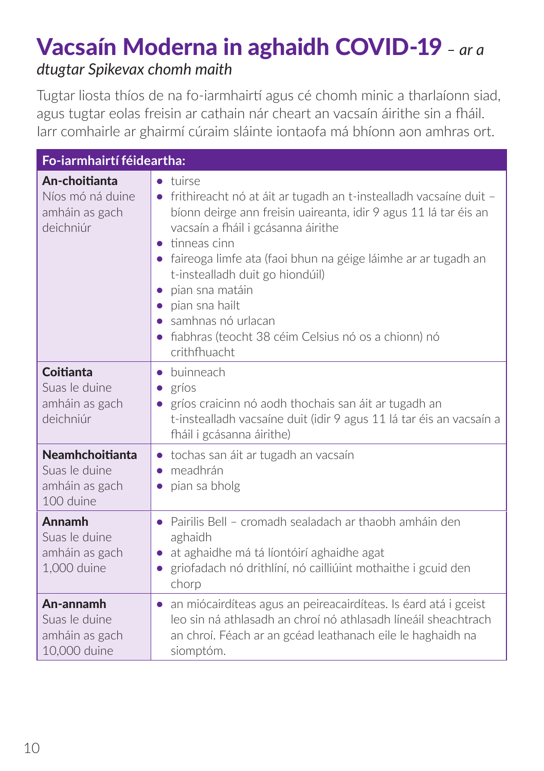## Vacsaín Moderna in aghaidh COVID-19 *– ar a dtugtar Spikevax chomh maith*

Tugtar liosta thíos de na fo-iarmhairtí agus cé chomh minic a tharlaíonn siad, agus tugtar eolas freisin ar cathain nár cheart an vacsaín áirithe sin a fháil. Iarr comhairle ar ghairmí cúraim sláinte iontaofa má bhíonn aon amhras ort.

| Fo-iarmhairtí féideartha:                                              |                                                                                                                                                                                                                                                                                                                                                                                                                                                                                                                             |  |
|------------------------------------------------------------------------|-----------------------------------------------------------------------------------------------------------------------------------------------------------------------------------------------------------------------------------------------------------------------------------------------------------------------------------------------------------------------------------------------------------------------------------------------------------------------------------------------------------------------------|--|
| An-choitianta<br>Níos mó ná duine<br>amháin as gach<br>deichniúr       | tuirse<br>$\bullet$<br>frithireacht nó at áit ar tugadh an t-instealladh vacsaíne duit -<br>$\bullet$<br>bíonn deirge ann freisin uaireanta, idir 9 agus 11 lá tar éis an<br>vacsaín a fháil i gcásanna áirithe<br>tinneas cinn<br>$\bullet$<br>• faireoga limfe ata (faoi bhun na géige láimhe ar ar tugadh an<br>t-instealladh duit go hiondúil)<br>pian sna matáin<br>$\bullet$<br>pian sna hailt<br>$\bullet$<br>samhnas nó urlacan<br>fiabhras (teocht 38 céim Celsius nó os a chionn) nó<br>$\bullet$<br>crithfhuacht |  |
| Coitianta<br>Suas le duine<br>amháin as gach<br>deichniúr              | • buinneach<br>gríos<br>$\bullet$<br>gríos craicinn nó aodh thochais san áit ar tugadh an<br>t-instealladh vacsaíne duit (idir 9 agus 11 lá tar éis an vacsaín a<br>fháil i gcásanna áirithe)                                                                                                                                                                                                                                                                                                                               |  |
| <b>Neamhchoitianta</b><br>Suas le duine<br>amháin as gach<br>100 duine | tochas san áit ar tugadh an vacsaín<br>$\bullet$<br>meadhrán<br>$\bullet$<br>pian sa bholg<br>$\bullet$                                                                                                                                                                                                                                                                                                                                                                                                                     |  |
| Annamh<br>Suas le duine<br>amháin as gach<br>1,000 duine               | Pairilis Bell - cromadh sealadach ar thaobh amháin den<br>$\bullet$<br>aghaidh<br>at aghaidhe má tá líontóirí aghaidhe agat<br>$\bullet$<br>griofadach nó drithlíní, nó cailliúint mothaithe i gcuid den<br>$\bullet$<br>chorp                                                                                                                                                                                                                                                                                              |  |
| An-annamh<br>Suas le duine<br>amháin as gach<br>10,000 duine           | • an miócairdíteas agus an peireacairdíteas. Is éard atá i gceist<br>leo sin ná athlasadh an chroí nó athlasadh líneáil sheachtrach<br>an chroí. Féach ar an gcéad leathanach eile le haghaidh na<br>siomptóm.                                                                                                                                                                                                                                                                                                              |  |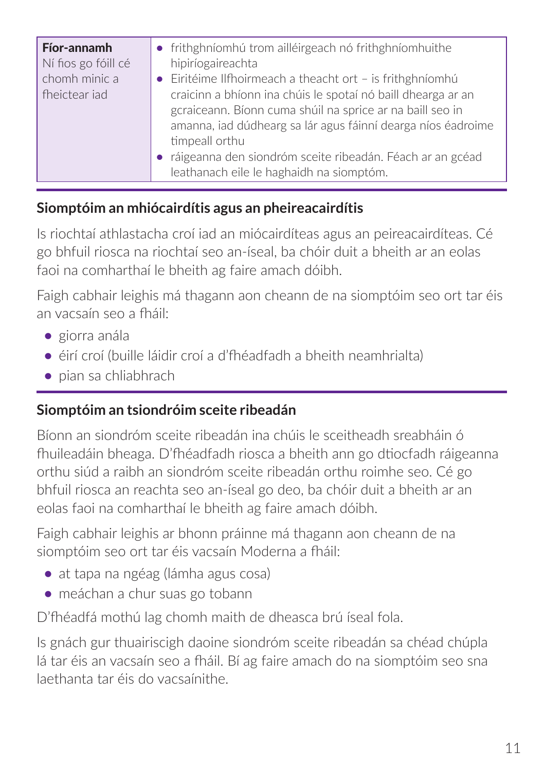| Fíor-annamh<br>Ní fios go fóill cé<br>chomh minic a<br>fheictear jad | • frithghníomhú trom ailléirgeach nó frithghníomhuithe<br>hipiríogaireachta<br>• Eiritéime Ilfhoirmeach a theacht ort - is frithghníomhú<br>craicinn a bhíonn ina chúis le spotaí nó baill dhearga ar an<br>gcraiceann. Bíonn cuma shúil na sprice ar na baill seo in<br>amanna, iad dúdhearg sa lár agus fáinní dearga níos éadroime<br>timpeall orthu<br>· ráigeanna den siondróm sceite ribeadán. Féach ar an gcéad<br>leathanach eile le haghaidh na siomptóm. |
|----------------------------------------------------------------------|--------------------------------------------------------------------------------------------------------------------------------------------------------------------------------------------------------------------------------------------------------------------------------------------------------------------------------------------------------------------------------------------------------------------------------------------------------------------|
|----------------------------------------------------------------------|--------------------------------------------------------------------------------------------------------------------------------------------------------------------------------------------------------------------------------------------------------------------------------------------------------------------------------------------------------------------------------------------------------------------------------------------------------------------|

#### **Siomptóim an mhiócairdítis agus an pheireacairdítis**

Is riochtaí athlastacha croí iad an miócairdíteas agus an peireacairdíteas. Cé go bhfuil riosca na riochtaí seo an-íseal, ba chóir duit a bheith ar an eolas faoi na comharthaí le bheith ag faire amach dóibh.

Faigh cabhair leighis má thagann aon cheann de na siomptóim seo ort tar éis an vacsaín seo a fháil:

- **•** giorra anála
- **•** éirí croí (buille láidir croí a d'fhéadfadh a bheith neamhrialta)
- **•** pian sa chliabhrach

## **Siomptóim an tsiondróim sceite ribeadán**

Bíonn an siondróm sceite ribeadán ina chúis le sceitheadh sreabháin ó fhuileadáin bheaga. D'fhéadfadh riosca a bheith ann go dtiocfadh ráigeanna orthu siúd a raibh an siondróm sceite ribeadán orthu roimhe seo. Cé go bhfuil riosca an reachta seo an-íseal go deo, ba chóir duit a bheith ar an eolas faoi na comharthaí le bheith ag faire amach dóibh.

Faigh cabhair leighis ar bhonn práinne má thagann aon cheann de na siomptóim seo ort tar éis vacsaín Moderna a fháil:

- **•** at tapa na ngéag (lámha agus cosa)
- **•** meáchan a chur suas go tobann

D'fhéadfá mothú lag chomh maith de dheasca brú íseal fola.

Is gnách gur thuairiscigh daoine siondróm sceite ribeadán sa chéad chúpla lá tar éis an vacsaín seo a fháil. Bí ag faire amach do na siomptóim seo sna laethanta tar éis do vacsaínithe.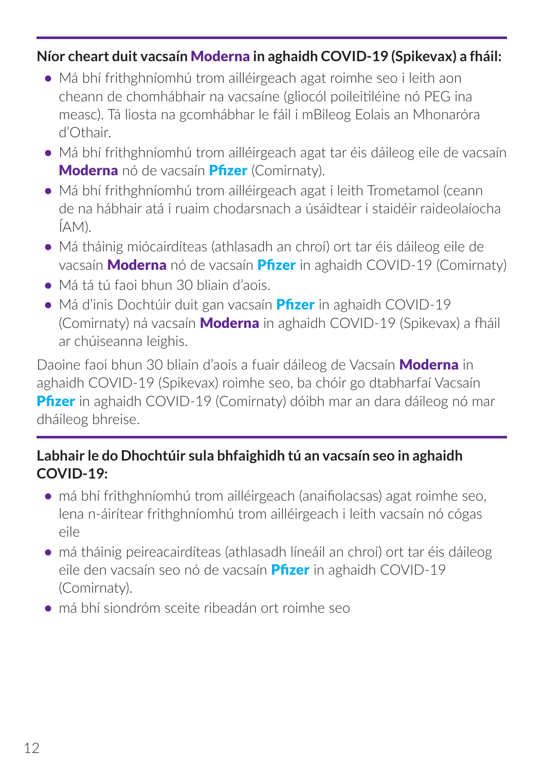#### **Níor cheart duit vacsaín** Moderna **in aghaidh COVID-19 (Spikevax) a fháil:**

- **•** Má bhí frithghníomhú trom ailléirgeach agat roimhe seo i leith aon cheann de chomhábhair na vacsaíne (gliocól poileitiléine nó PEG ina measc). Tá liosta na gcomhábhar le fáil i mBileog Eolais an Mhonaróra d'Othair.
- **•** Má bhí frithghníomhú trom ailléirgeach agat tar éis dáileog eile de vacsaín Moderna nó de vacsaín Pfizer (Comirnaty).
- **•** Má bhí frithghníomhú trom ailléirgeach agat i leith Trometamol (ceann de na hábhair atá i ruaim chodarsnach a úsáidtear i staidéir raideolaíocha ÍAM).
- **•** Má tháinig miócairdíteas (athlasadh an chroí) ort tar éis dáileog eile de vacsaín **Moderna** nó de vacsaín **Pfizer** in aghaidh COVID-19 (Comirnaty)
- **•** Má tá tú faoi bhun 30 bliain d'aois.
- **•** Má d'inis Dochtúir duit gan vacsaín Pfizer in aghaidh COVID-19 (Comirnaty) ná vacsaín **Moderna** in aghaidh COVID-19 (Spikevax) a fháil ar chúiseanna leighis.

Daoine faoi bhun 30 bliain d'aois a fuair dáileog de Vacsaín Moderna in aghaidh COVID-19 (Spikevax) roimhe seo, ba chóir go dtabharfaí Vacsaín **Pfizer in aghaidh COVID-19 (Comirnaty) dóibh mar an dara dáileog nó mar** dháileog bhreise.

#### **Labhair le do Dhochtúir sula bhfaighidh tú an vacsaín seo in aghaidh COVID-19:**

- **•** má bhí frithghníomhú trom ailléirgeach (anaifiolacsas) agat roimhe seo, lena n-áirítear frithghníomhú trom ailléirgeach i leith vacsaín nó cógas eile
- **•** má tháinig peireacairdíteas (athlasadh líneáil an chroí) ort tar éis dáileog eile den vacsaín seo nó de vacsaín **Pfizer** in aghaidh COVID-19 (Comirnaty).
- **•** má bhí siondróm sceite ribeadán ort roimhe seo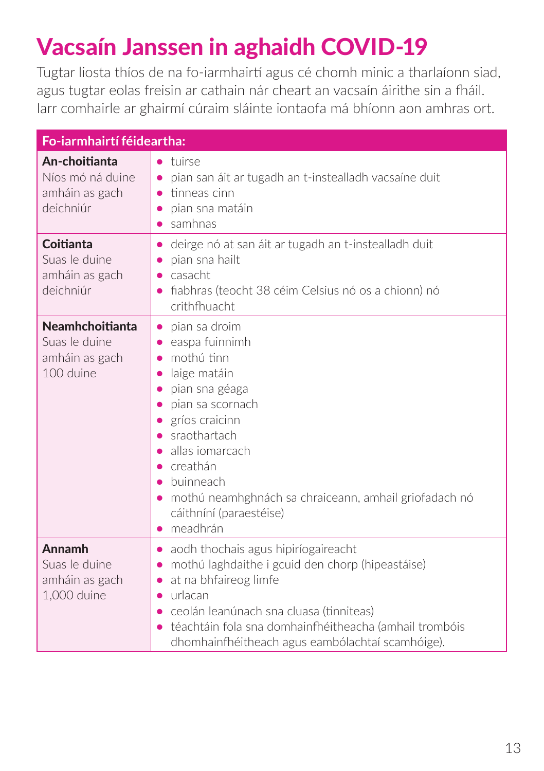# Vacsaín Janssen in aghaidh COVID-19

Tugtar liosta thíos de na fo-iarmhairtí agus cé chomh minic a tharlaíonn siad, agus tugtar eolas freisin ar cathain nár cheart an vacsaín áirithe sin a fháil. Iarr comhairle ar ghairmí cúraim sláinte iontaofa má bhíonn aon amhras ort.

| Fo-iarmhairtí féideartha:                                              |                                                                                                                                                                                                                                                                                                                                                                                                                                               |  |
|------------------------------------------------------------------------|-----------------------------------------------------------------------------------------------------------------------------------------------------------------------------------------------------------------------------------------------------------------------------------------------------------------------------------------------------------------------------------------------------------------------------------------------|--|
| An-choitianta<br>Níos mó ná duine<br>amháin as gach<br>deichniúr       | tuirse<br>pian san áit ar tugadh an t-instealladh vacsaíne duit<br>$\bullet$<br>tinneas cinn<br>$\bullet$<br>pian sna matáin<br>samhnas<br>$\bullet$                                                                                                                                                                                                                                                                                          |  |
| Coitianta<br>Suas le duine<br>amháin as gach<br>deichniúr              | deirge nó at san áit ar tugadh an t-instealladh duit<br>$\bullet$<br>pian sna hailt<br>$\bullet$<br>casacht<br>$\bullet$<br>fiabhras (teocht 38 céim Celsius nó os a chionn) nó<br>crithfhuacht                                                                                                                                                                                                                                               |  |
| <b>Neamhchoitianta</b><br>Suas le duine<br>amháin as gach<br>100 duine | pian sa droim<br>$\bullet$<br>easpa fuinnimh<br>$\bullet$<br>mothú tinn<br>$\bullet$<br>laige matáin<br>$\bullet$<br>pian sna géaga<br>$\bullet$<br>pian sa scornach<br>$\bullet$<br>gríos craicinn<br>$\bullet$<br>sraothartach<br>$\bullet$<br>allas iomarcach<br>creathán<br>$\bullet$<br>buinneach<br>$\bullet$<br>mothú neamhghnách sa chraiceann, amhail griofadach nó<br>$\bullet$<br>cáithníní (paraestéise)<br>meadhrán<br>$\bullet$ |  |
| Annamh<br>Suas le duine<br>amháin as gach<br>1,000 duine               | aodh thochais agus hipiríogaireacht<br>$\bullet$<br>mothú laghdaithe i gcuid den chorp (hipeastáise)<br>$\bullet$<br>at na bhfaireog limfe<br>$\bullet$<br>urlacan<br>$\bullet$<br>ceolán leanúnach sna cluasa (tinniteas)<br>téachtáin fola sna domhainfhéitheacha (amhail trombóis<br>dhomhainfhéitheach agus eambólachtaí scamhóige).                                                                                                      |  |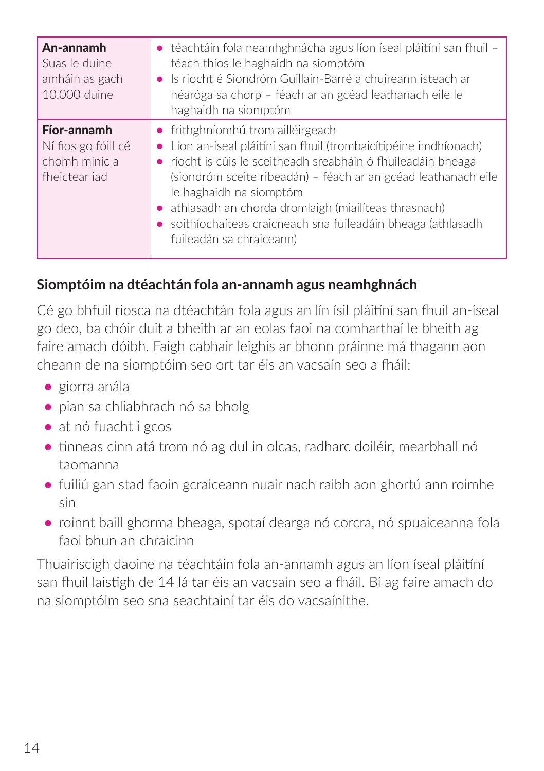| An-annamh<br>Suas le duine<br>amháin as gach<br>10,000 duine         | • téachtáin fola neamhghnácha agus líon íseal pláitíní san fhuil -<br>féach thíos le haghaidh na siomptóm<br>• Is riocht é Siondróm Guillain-Barré a chuireann isteach ar<br>néaróga sa chorp - féach ar an gcéad leathanach eile le<br>haghaidh na siomptóm                                                                                                                                                                       |
|----------------------------------------------------------------------|------------------------------------------------------------------------------------------------------------------------------------------------------------------------------------------------------------------------------------------------------------------------------------------------------------------------------------------------------------------------------------------------------------------------------------|
| Fíor-annamh<br>Ní fios go fóill cé<br>chomh minic a<br>fheictear jad | $\bullet$ frithghníomhú trom ailléirgeach<br>• Líon an-íseal pláitíní san fhuil (trombaicítipéine imdhíonach)<br>• riocht is cúis le sceitheadh sreabháin ó fhuileadáin bheaga<br>(siondróm sceite ribeadán) – féach ar an gcéad leathanach eile<br>le haghaidh na siomptóm<br>• athlasadh an chorda dromlaigh (miailíteas thrasnach)<br>• soithíochaíteas craicneach sna fuileadáin bheaga (athlasadh<br>fuileadán sa chraiceann) |

## **Siomptóim na dtéachtán fola an-annamh agus neamhghnách**

Cé go bhfuil riosca na dtéachtán fola agus an lín ísil pláitíní san fhuil an-íseal go deo, ba chóir duit a bheith ar an eolas faoi na comharthaí le bheith ag faire amach dóibh. Faigh cabhair leighis ar bhonn práinne má thagann aon cheann de na siomptóim seo ort tar éis an vacsaín seo a fháil:

- **•** giorra anála
- **•** pian sa chliabhrach nó sa bholg
- **•** at nó fuacht i gcos
- **•** tinneas cinn atá trom nó ag dul in olcas, radharc doiléir, mearbhall nó taomanna
- **•** fuiliú gan stad faoin gcraiceann nuair nach raibh aon ghortú ann roimhe sin
- **•** roinnt baill ghorma bheaga, spotaí dearga nó corcra, nó spuaiceanna fola faoi bhun an chraicinn

Thuairiscigh daoine na téachtáin fola an-annamh agus an líon íseal pláitíní san fhuil laistigh de 14 lá tar éis an vacsaín seo a fháil. Bí ag faire amach do na siomptóim seo sna seachtainí tar éis do vacsaínithe.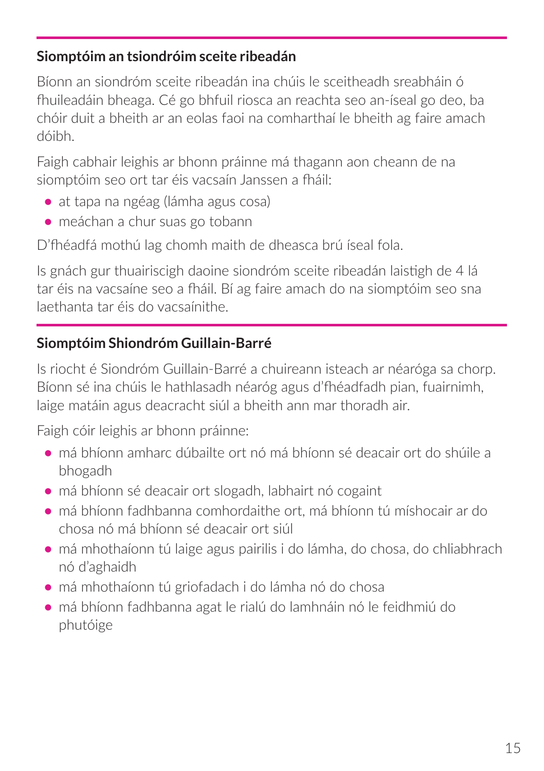#### **Siomptóim an tsiondróim sceite ribeadán**

Bíonn an siondróm sceite ribeadán ina chúis le sceitheadh sreabháin ó fhuileadáin bheaga. Cé go bhfuil riosca an reachta seo an-íseal go deo, ba chóir duit a bheith ar an eolas faoi na comharthaí le bheith ag faire amach dóibh.

Faigh cabhair leighis ar bhonn práinne má thagann aon cheann de na siomptóim seo ort tar éis vacsaín Janssen a fháil:

- **•** at tapa na ngéag (lámha agus cosa)
- **•** meáchan a chur suas go tobann

D'fhéadfá mothú lag chomh maith de dheasca brú íseal fola.

Is gnách gur thuairiscigh daoine siondróm sceite ribeadán laistigh de 4 lá tar éis na vacsaíne seo a fháil. Bí ag faire amach do na siomptóim seo sna laethanta tar éis do vacsaínithe.

#### **Siomptóim Shiondróm Guillain-Barré**

Is riocht é Siondróm Guillain-Barré a chuireann isteach ar néaróga sa chorp. Bíonn sé ina chúis le hathlasadh néaróg agus d'fhéadfadh pian, fuairnimh, laige matáin agus deacracht siúl a bheith ann mar thoradh air.

Faigh cóir leighis ar bhonn práinne:

- **•** má bhíonn amharc dúbailte ort nó má bhíonn sé deacair ort do shúile a bhogadh
- **•** má bhíonn sé deacair ort slogadh, labhairt nó cogaint
- **•** má bhíonn fadhbanna comhordaithe ort, má bhíonn tú míshocair ar do chosa nó má bhíonn sé deacair ort siúl
- **•** má mhothaíonn tú laige agus pairilis i do lámha, do chosa, do chliabhrach nó d'aghaidh
- **•** má mhothaíonn tú griofadach i do lámha nó do chosa
- **•** má bhíonn fadhbanna agat le rialú do lamhnáin nó le feidhmiú do phutóige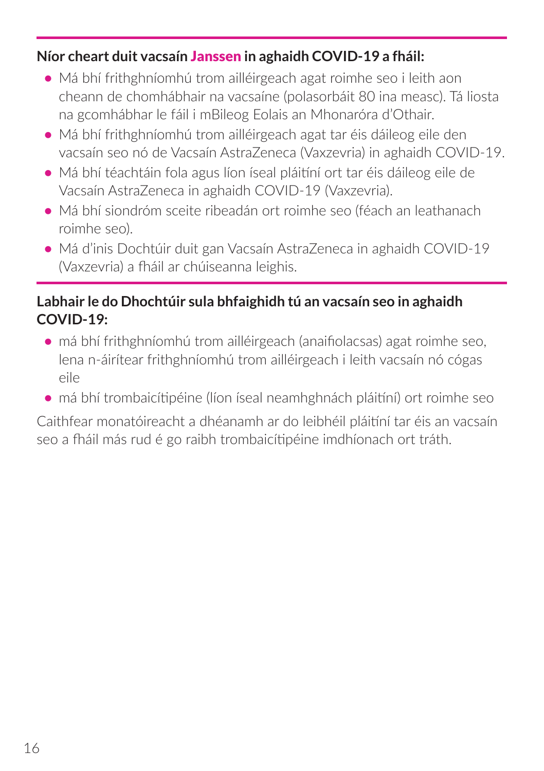#### **Níor cheart duit vacsaín** Janssen **in aghaidh COVID-19 a fháil:**

- **•** Má bhí frithghníomhú trom ailléirgeach agat roimhe seo i leith aon cheann de chomhábhair na vacsaíne (polasorbáit 80 ina measc). Tá liosta na gcomhábhar le fáil i mBileog Eolais an Mhonaróra d'Othair.
- **•** Má bhí frithghníomhú trom ailléirgeach agat tar éis dáileog eile den vacsaín seo nó de Vacsaín AstraZeneca (Vaxzevria) in aghaidh COVID-19.
- **•** Má bhí téachtáin fola agus líon íseal pláitíní ort tar éis dáileog eile de Vacsaín AstraZeneca in aghaidh COVID-19 (Vaxzevria).
- **•** Má bhí siondróm sceite ribeadán ort roimhe seo (féach an leathanach roimhe seo).
- **•** Má d'inis Dochtúir duit gan Vacsaín AstraZeneca in aghaidh COVID-19 (Vaxzevria) a fháil ar chúiseanna leighis.

## **Labhair le do Dhochtúir sula bhfaighidh tú an vacsaín seo in aghaidh COVID-19:**

- **•** má bhí frithghníomhú trom ailléirgeach (anaifiolacsas) agat roimhe seo, lena n-áirítear frithghníomhú trom ailléirgeach i leith vacsaín nó cógas eile
- **•** má bhí trombaicítipéine (líon íseal neamhghnách pláitíní) ort roimhe seo

Caithfear monatóireacht a dhéanamh ar do leibhéil pláitíní tar éis an vacsaín seo a fháil más rud é go raibh trombaicítipéine imdhíonach ort tráth.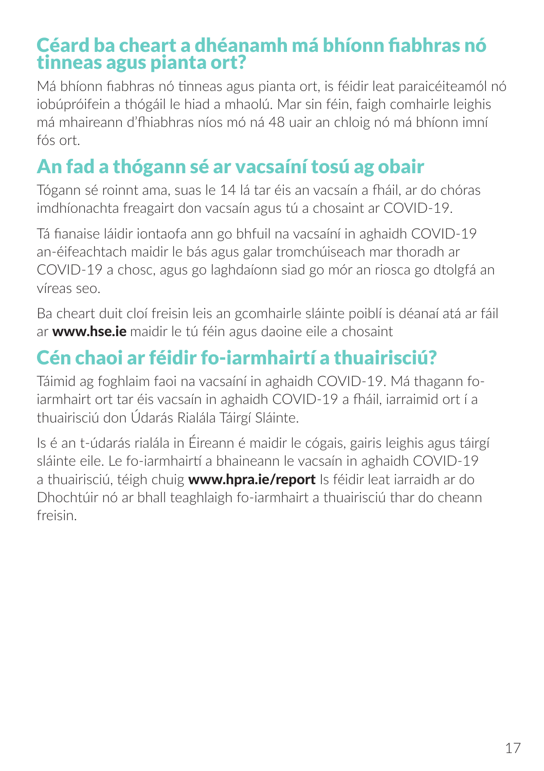## Céard ba cheart a dhéanamh má bhíonn fiabhras nó tinneas agus pianta ort?

Má bhíonn fiabhras nó tinneas agus pianta ort, is féidir leat paraicéiteamól nó iobúpróifein a thógáil le hiad a mhaolú. Mar sin féin, faigh comhairle leighis má mhaireann d'fhiabhras níos mó ná 48 uair an chloig nó má bhíonn imní fós ort.

## An fad a thógann sé ar vacsaíní tosú ag obair

Tógann sé roinnt ama, suas le 14 lá tar éis an vacsaín a fháil, ar do chóras imdhíonachta freagairt don vacsaín agus tú a chosaint ar COVID-19.

Tá fianaise láidir iontaofa ann go bhfuil na vacsaíní in aghaidh COVID-19 an-éifeachtach maidir le bás agus galar tromchúiseach mar thoradh ar COVID-19 a chosc, agus go laghdaíonn siad go mór an riosca go dtolgfá an víreas seo.

Ba cheart duit cloí freisin leis an gcomhairle sláinte poiblí is déanaí atá ar fáil ar **www.hse.ie** maidir le tú féin agus daoine eile a chosaint

## Cén chaoi ar féidir fo-iarmhairtí a thuairisciú?

Táimid ag foghlaim faoi na vacsaíní in aghaidh COVID-19. Má thagann foiarmhairt ort tar éis vacsaín in aghaidh COVID-19 a fháil, iarraimid ort í a thuairisciú don Údarás Rialála Táirgí Sláinte.

Is é an t-údarás rialála in Éireann é maidir le cógais, gairis leighis agus táirgí sláinte eile. Le fo-iarmhairtí a bhaineann le vacsaín in aghaidh COVID-19 a thuairisciú, téigh chuig www.hpra.ie/report Is féidir leat iarraidh ar do Dhochtúir nó ar bhall teaghlaigh fo-iarmhairt a thuairisciú thar do cheann freisin.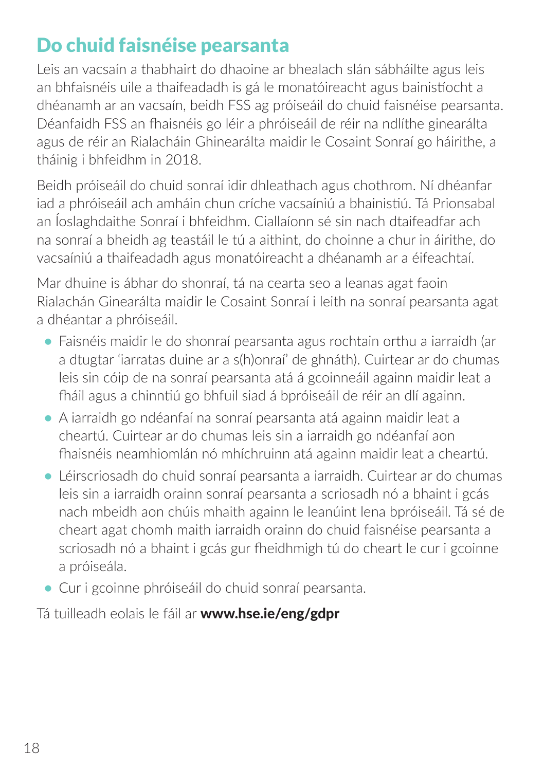## Do chuid faisnéise pearsanta

Leis an vacsaín a thabhairt do dhaoine ar bhealach slán sábháilte agus leis an bhfaisnéis uile a thaifeadadh is gá le monatóireacht agus bainistíocht a dhéanamh ar an vacsaín, beidh FSS ag próiseáil do chuid faisnéise pearsanta. Déanfaidh FSS an fhaisnéis go léir a phróiseáil de réir na ndlíthe ginearálta agus de réir an Rialacháin Ghinearálta maidir le Cosaint Sonraí go háirithe, a tháinig i bhfeidhm in 2018.

Beidh próiseáil do chuid sonraí idir dhleathach agus chothrom. Ní dhéanfar iad a phróiseáil ach amháin chun críche vacsaíniú a bhainistiú. Tá Prionsabal an Íoslaghdaithe Sonraí i bhfeidhm. Ciallaíonn sé sin nach dtaifeadfar ach na sonraí a bheidh ag teastáil le tú a aithint, do choinne a chur in áirithe, do vacsaíniú a thaifeadadh agus monatóireacht a dhéanamh ar a éifeachtaí.

Mar dhuine is ábhar do shonraí, tá na cearta seo a leanas agat faoin Rialachán Ginearálta maidir le Cosaint Sonraí i leith na sonraí pearsanta agat a dhéantar a phróiseáil.

- **•** Faisnéis maidir le do shonraí pearsanta agus rochtain orthu a iarraidh (ar a dtugtar 'iarratas duine ar a s(h)onraí' de ghnáth). Cuirtear ar do chumas leis sin cóip de na sonraí pearsanta atá á gcoinneáil againn maidir leat a fháil agus a chinntiú go bhfuil siad á bpróiseáil de réir an dlí againn.
- **•** A iarraidh go ndéanfaí na sonraí pearsanta atá againn maidir leat a cheartú. Cuirtear ar do chumas leis sin a iarraidh go ndéanfaí aon fhaisnéis neamhiomlán nó mhíchruinn atá againn maidir leat a cheartú.
- **•** Léirscriosadh do chuid sonraí pearsanta a iarraidh. Cuirtear ar do chumas leis sin a iarraidh orainn sonraí pearsanta a scriosadh nó a bhaint i gcás nach mbeidh aon chúis mhaith againn le leanúint lena bpróiseáil. Tá sé de cheart agat chomh maith iarraidh orainn do chuid faisnéise pearsanta a scriosadh nó a bhaint i gcás gur fheidhmigh tú do cheart le cur i gcoinne a próiseála.
- **•** Cur i gcoinne phróiseáil do chuid sonraí pearsanta.

Tá tuilleadh eolais le fáil ar www.hse.ie/eng/gdpr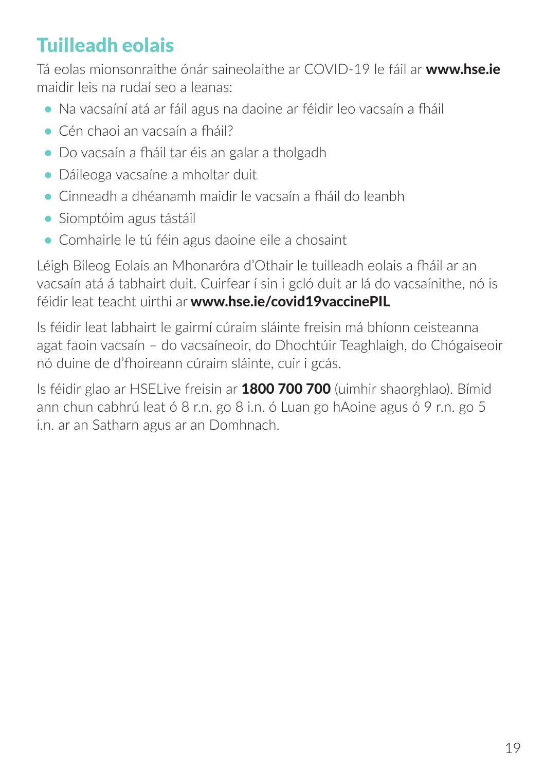## Tuilleadh eolais

Tá eolas mionsonraithe ónár saineolaithe ar COVID-19 le fáil ar www.hse.ie maidir leis na rudaí seo a leanas:

- **•** Na vacsaíní atá ar fáil agus na daoine ar féidir leo vacsaín a fháil
- **•** Cén chaoi an vacsaín a fháil?
- **•** Do vacsaín a fháil tar éis an galar a tholgadh
- **•** Dáileoga vacsaíne a mholtar duit
- **•** Cinneadh a dhéanamh maidir le vacsaín a fháil do leanbh
- **•** Siomptóim agus tástáil
- **•** Comhairle le tú féin agus daoine eile a chosaint

Léigh Bileog Eolais an Mhonaróra d'Othair le tuilleadh eolais a fháil ar an vacsaín atá á tabhairt duit. Cuirfear í sin i gcló duit ar lá do vacsaínithe, nó is féidir leat teacht uirthi ar www.hse.ie/covid19vaccinePIL

Is féidir leat labhairt le gairmí cúraim sláinte freisin má bhíonn ceisteanna agat faoin vacsaín – do vacsaíneoir, do Dhochtúir Teaghlaigh, do Chógaiseoir nó duine de d'fhoireann cúraim sláinte, cuir i gcás.

Is féidir glao ar HSELive freisin ar 1800 700 700 (uimhir shaorghlao). Bímid ann chun cabhrú leat ó 8 r.n. go 8 i.n. ó Luan go hAoine agus ó 9 r.n. go 5 i.n. ar an Satharn agus ar an Domhnach.